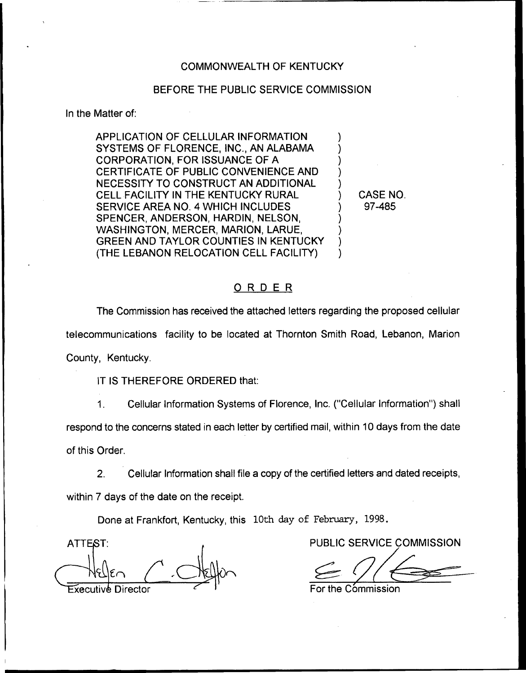#### COMMONWEALTH OF KENTUCKY

## BEFORE THE PUBLIC SERVICE COMMISSION

In the Matter of:

APPLICATION OF CELLULAR INFORMATION SYSTEMS OF FLORENCE, INC., AN ALABAMA CORPORATION, FOR ISSUANCE OF A CERTIFICATE OF PUBLIC CONVENIENCE AND NECESSITY TO CONSTRUCT AN ADDITIONAL CELL FACILITY IN THE KENTUCKY RURAL SERVICE AREA NO. 4 WHICH INCLUDES SPENCER, ANDERSON, HARDIN, NELSON, WASHINGTON, MERCER, MARION, LARUE, GREEN AND TAYLOR COUNTIES IN KENTUCKY (THE LEBANON RELOCATION CELL FACILITY)

<sup>3</sup> CASE NO. ) 97-485

) ) ) ) )

> ) ) ) )

## ORDER

The Commission has received the attached letters regarding the proposed cellular telecommunications facility to be located at Thornton Smith Road, Lebanon, Marion County, Kentucky.

IT IS THEREFORE ORDERED that:

Cellular Information Systems of Florence, Inc. ("Cellular Information") shal  $1<sub>1</sub>$ 

respond to the concerns stated in each letter by certified mail, within 10 days from the date

of this Order.

2. Cellular Information shall file a copy of the certified letters and dated receipts,

within 7 days of the date on the receipt.

Done at Frankfort, Kentucky, this 10th day of February, 1998.

ATTEST: AND A RESERVICE COMMISSION  $\overline{\text{F}}$ xecutive Director  $\overline{\text{F}}$  is a set of the Commission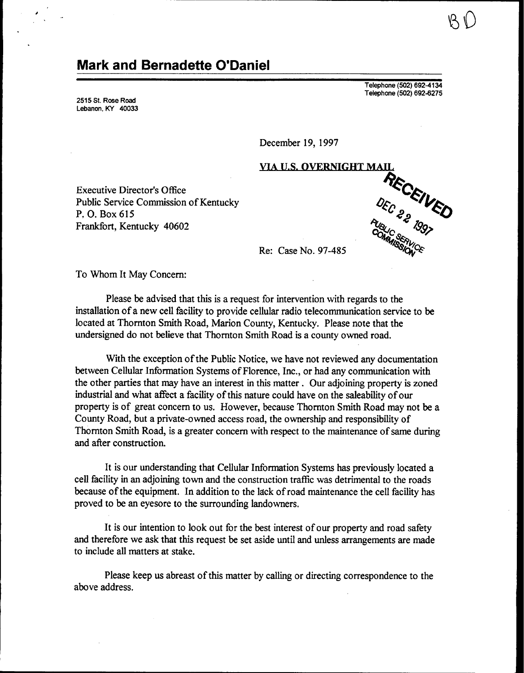## Mark and Bernadette O'Daniel

2515 St. Rose Road Lebanon, KY 40033 Telephone (502) 692-4134 Telephone (502) 692-6275

December 19, 1997

Executive Director's Office Public Service Commission of Kentucky P. O. Box 615 Frankfort, Kentucky 40602



Re: Case No. 97-485

To Whom It May Concern:

Please be advised that this is a request for intervention with regards to the installation of a new cell facility to provide cellular radio telecommunication service to be located at Thornton Smith Road, Marion County, Kentucky. Please note that the undersigned do not believe that Thornton Smith Road is a county owned road.

With the exception of the Public Notice, we have not reviewed any documentation between Cellular Information Systems of Florence, Inc., or had any communication with the other parties that may have an interest in this matter . Our adjoining property is zoned industrial and what affect a facility of this nature could have on the saleability of our property is of great concern to us, However, because Thornton Smith Road may not be a County Road, but a private-owned access road, the ownership and responsibility of Thornton Smith Road, is a greater concern with respect to the maintenance of same during and after construction.

It is our understanding that Cellular Information Systems has previously located a cell facility in an adjoining town and the construction traffic was detrimental to the roads because of the equipment. In addition to the lack of road maintenance the cell facility has proved to be an eyesore to the surrounding landowners.

It is our intention to look out for the best interest of our property and road safety and therefore we ask that this request be set aside until and unless arrangements are made to include all matters at stake.

Please keep us abreast of this matter by calling or directing correspondence to the above address.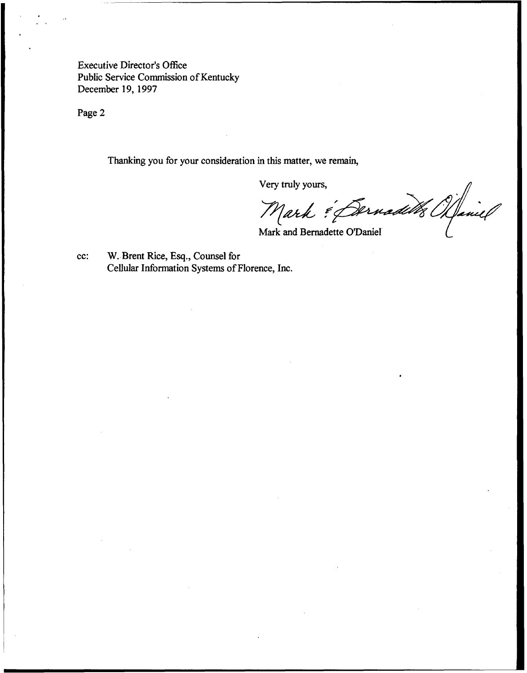Executive Director's Office Public Service Commission of Kentucky December 19, 1997

Page 2

Thanking you for your consideration in this matter, we remain,

Very truly yours,<br>Mark : Dernadelles Maniel

Mark and Bernadette O'Daniel

cc: %.Brent Rice, Esq., Counsel for Cellular Information Systems of Florence, Inc.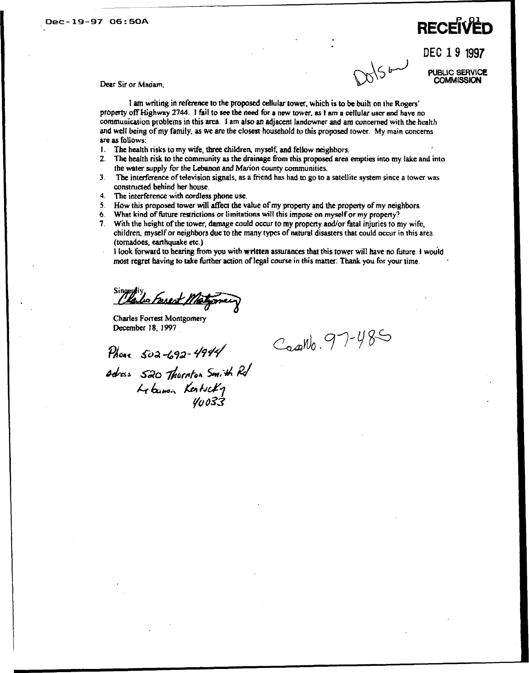## $D$ ec-19-97 06:50A RECEIVED

DEC 19 1997  $\sqrt{5b}$ 

pusuc service **COMMISSION** 

Dear Sir or Madam,

I am writing in reference to the proposed cellular tower, which is to be built on the Rogers' property off Highway 2744. I fail to see the need for a new tower, as 1 am a cellular user and have no communication problems in this area. 1 am also an adjacent landowner and am concerned with the health and well being of my family, as we are the closest household to this proposed tower. My main concerns are as follows:

- 1, The health risks to my wife, three children, myself, and fellow neighbors,
- 2. The health risk to the community as the drainage from this proposed area empties into my lake and into the water supply for the Lebanon and Marion county conununities.
- 3. The interference of television signals, as a friend has had to go to a satellite system since a tower was constructed behind her house.
- 4. The interferencc with cordless phone use.
- 5. How this proposed tower will affect the value of my property and the property of my neighbors.<br>6. What kind of future restrictions or limitations will this impose on myself or my property?
- 6. What kind of future restrictions or limitations will this impose on myself or my property?<br>7. With the height of the tower, damage could occur to my property and/or fatal iniuries to n
- With the height of the tower, damage could occur to my property and/or fatal injuries to my wife, children. myself or neighbors due to the many types of natural disasters that could occur in this area. (tornadoes, earthquake etc.)
- <sup>1</sup> look forward to hearing from you with written assurances that this tower will have no future. <sup>1</sup> would most regret having to take further action oflegal course in this matter. Thank you for your time.

Sincereix<br>Clarles Forsest Mostgome

Charles Forrest Montgomer December 18, 1997

Casento. 97-485

 $P_{\text{More}}$  502-692-4944 Adress 520 Thurnton Smith Rd  $\therefore$  Kertscky Yu o33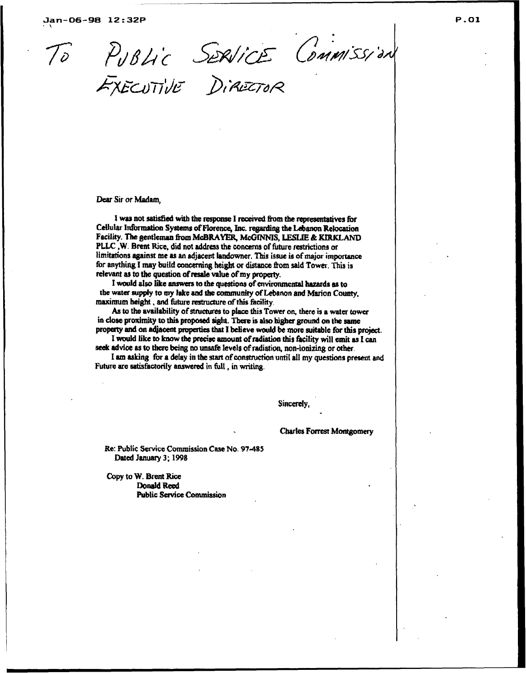PUBLIC SERVICE COMMISSION

Dear Sir or Madam,

I was not satisfied with the response I received from the representatives for Cellular Information Systems of Florence, Inc. regarding the Lebanon Relocation Facility. The gentleman from McBRAYER, McGINNIS, LESLIE & KIRKLAND PLLC, W. Brent Rice, did not address the concerns of future restrictions or limitations against me as an adjacent landowner. This issue is of major importance for anything I may build concerning height or distance from said Tower. This is relevant as to the question of resale value of my property.

I would also like answers to the questions of environmental hazards as to the water supply to my lake and the community of Lebanon and Marion County, maximum height, and future restructure of this facility.

As to the availability of structures to place this Tower on, there is a water tower in close proximity to this proposed sight. There is also higher ground on the same property and on s4iacent properties that I beleve would be more suitable for this project.

I would like to know the precise amount of radiation this facility will emit as I can seek advice as to there being no unsafe levels of radiation, non-ionizing or other.

I am asking for a delay in the start of construction until all my questions present and Future are satisfactorily answered in full, in writing.

Sincerely,

Charles Fotrest Montgomery

Re: Public Service Commission Case No. 97-485 Dated January 3; 1998

Copy to W. Brent Rice Donald Reed Public Service Commission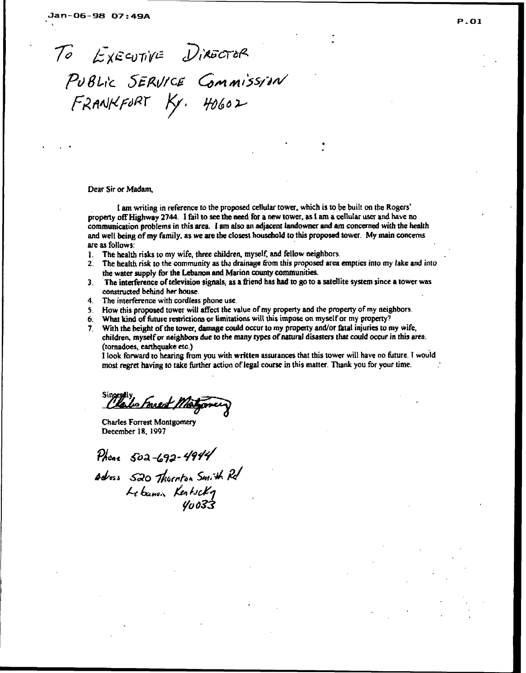TO EXECUTIVE DIRECTOR PUBLIC SERVICE COMMISSION

 $FAANKFORT$   $Ky.$   $H0602$ 

Dear Sir or Madam,

1 am writing in reference to the proposed cellular tower, which is to be built on the property off Highway 2744. I fail to see the need for a new tower, as I am a cellular user and have no communication problems in this area. l am also an adjacent landowner and am concerned with the health and well being of my family, as we are the closest household to this proposed tower. My main concerns are as follows:

- 1. The health risks to my wife, three children, myself, and fellow neighbors,  $\overline{z}$ . The health risk to the community as the drainage from this proposed area
- The health risk to the community as the drainage from this proposed area empties into my lake and into the water supply for the Lebanon and Marion county communities.
- 3. The interference oftelevision signals, as a friend has had to go to a satellite system since a tower was constructed behind her house.
- 4. The interference with cordless phone use.
- 5. How this proposed tower will affect the value of my property and the property of my neighbors.
- 6. What kind of future restrictions or limitations will this impose on myself or my property?
- 7. With the height of the tower, damage could occur to my property and/or fatal injuries to my wife, children, myself or neighbors due to the many types of natural disasters that could occur in this area. (tornadoes, earthquake etc.)

I look forward to hearing from you with written assurances that this tower will have no future. <sup>1</sup> would most regret having to take further action of legal course in this matter. Thank you for your time.

Clarke Forest Motorney

Charles Forrest Montgomery December 1S, 1997

Phone  $502 - 692 - 4944$ 

Adress 520 Thurnton Smith Rd Lebanon Kentscky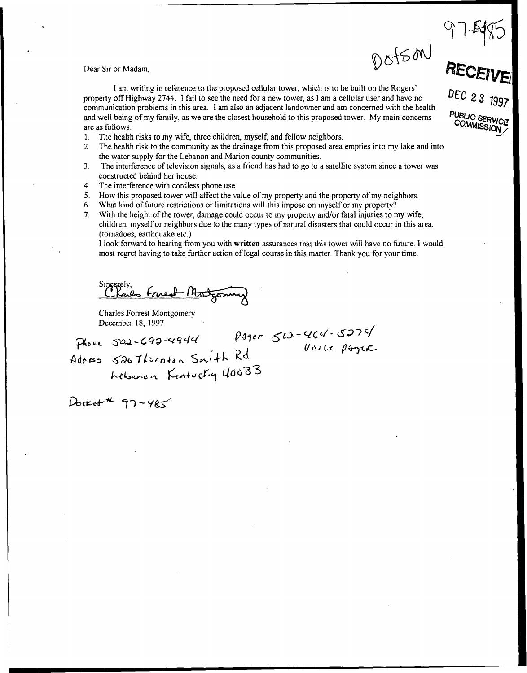Dotson

DEC 23 1997

 $\sim$  $m$  $M$ BLIC SERVIC<br>OMMISSION

Dear Sir or Madam,

I am writing in reference to the proposed cellular tower, which is to be built on the property off Highway 2744. I fail to see the need for a new tower, as I am a cellular user and have no communication problems in this area. I am also an adjacent landowner and am concerned with the health and well being of my family, as we are the closest household to this proposed tower. My main concerns are as follows:

- 1. The health risks to my wife, three children, myself, and fellow neighbors.<br>2. The health risk to the community as the drainage from this proposed area
- 2. The health risk to the community as the drainage from this proposed area empties into my lake and into the water supply for the Lebanon and Marion county communities.
- 3. The interference oftelevision signals, as a friend has had to go to a satellite system since a tower was constructed behind her house.
- 4. The interference with cordless phone use.
- 5. How this proposed tower will affect the value of my property and the property of my neighbors.
- 6. %hat kind of future restrictions or limitations will this impose on myself or my property?
- 7. With the height of the tower, damage could occur to my property and/or fatal injuries to my wife, children, myself or neighbors due to the many types of natural disasters that could occur in this area. (tornadoes, earthquake etc.)

I look forward to hearing from you with written assurances that this tower will have no future. I would most regret having to take further action of legal course in this matter. Thank you for your time.

Sincerely, Great Montgome

Charles Forrest Montgomery December 18, 1997

 $Adness$   $6267l$ irnton Sn $4h$  Rd Lebanon Kentucky 40033

Voice pager

Docket # 97-485